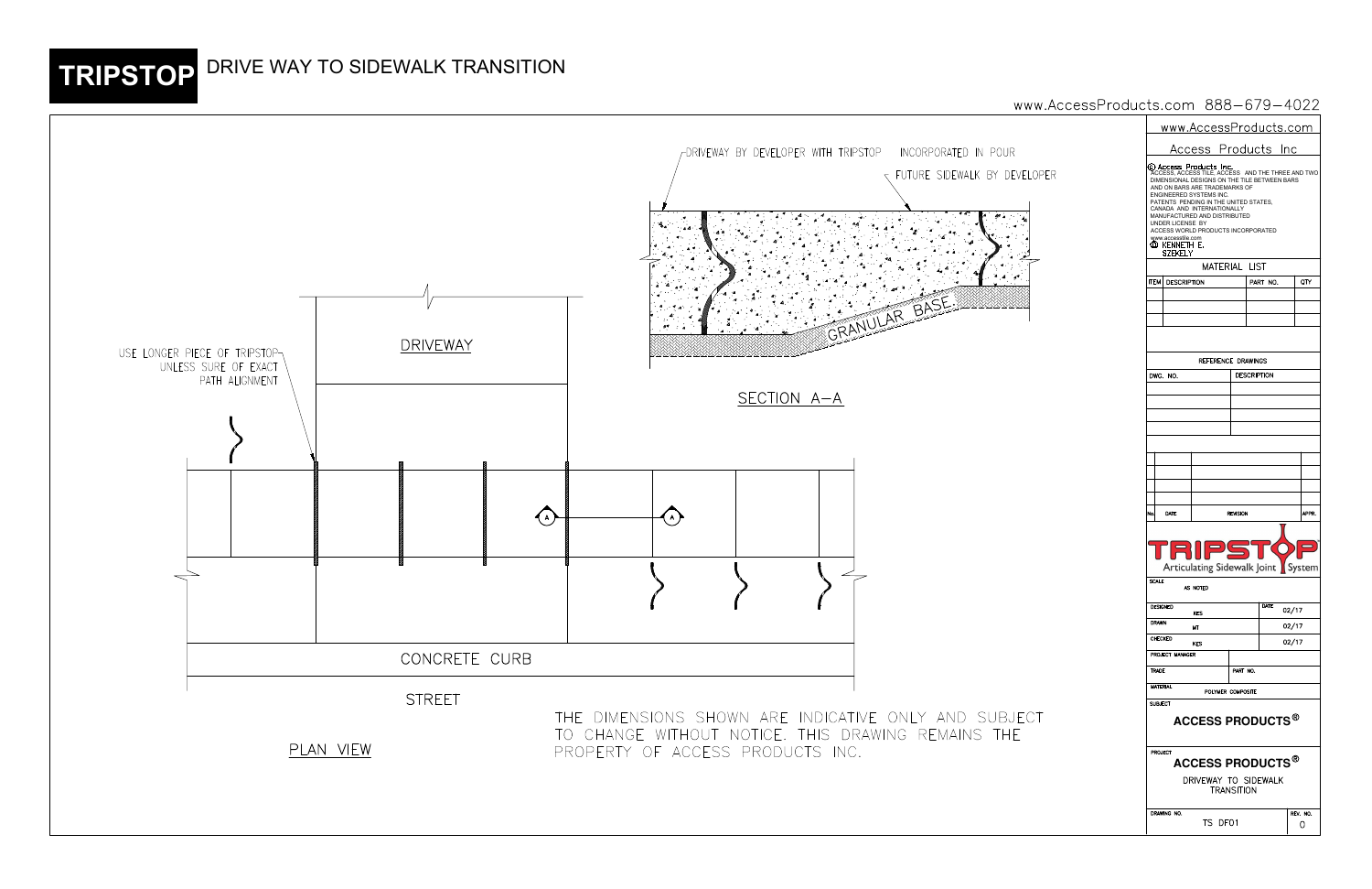|            | www.AccessProducts.com                                                                                                                                                                                                                                                                                                                                                                                             |                         |  |                     |          |               |               |  |  |  |  |
|------------|--------------------------------------------------------------------------------------------------------------------------------------------------------------------------------------------------------------------------------------------------------------------------------------------------------------------------------------------------------------------------------------------------------------------|-------------------------|--|---------------------|----------|---------------|---------------|--|--|--|--|
| R          |                                                                                                                                                                                                                                                                                                                                                                                                                    |                         |  | Access Products Inc |          |               |               |  |  |  |  |
| EVELOPER   | © Access Products Inc.<br>ACCESS, ACCESS TILE, ACCESS AND THE THREE AND TWO<br>DIMENSIONAL DESIGNS ON THE TILE BETWEEN BARS<br>AND ON BARS ARE TRADEMARKS OF<br>ENGINEERED SYSTEMS INC.<br>PATENTS PENDING IN THE UNITED STATES,<br>CANADA AND INTERNATIONALLY<br>MANUFACTURED AND DISTRIBUTED<br>UNDER LICENSE BY<br>ACCESS WORLD PRODUCTS INCORPORATED<br>www.accesstile.com<br>(d) kenneth e.<br><b>SZEKELY</b> |                         |  |                     |          |               |               |  |  |  |  |
|            | MATERIAL LIST                                                                                                                                                                                                                                                                                                                                                                                                      |                         |  |                     |          |               |               |  |  |  |  |
|            | <b>ITEM</b>                                                                                                                                                                                                                                                                                                                                                                                                        | <b>DESCRIPTION</b>      |  |                     | PART NO. |               | QTY           |  |  |  |  |
|            |                                                                                                                                                                                                                                                                                                                                                                                                                    |                         |  |                     |          |               |               |  |  |  |  |
|            |                                                                                                                                                                                                                                                                                                                                                                                                                    |                         |  |                     |          |               |               |  |  |  |  |
|            |                                                                                                                                                                                                                                                                                                                                                                                                                    |                         |  |                     |          |               |               |  |  |  |  |
|            |                                                                                                                                                                                                                                                                                                                                                                                                                    |                         |  |                     |          |               |               |  |  |  |  |
|            | REFERENCE DRAWINGS                                                                                                                                                                                                                                                                                                                                                                                                 |                         |  |                     |          |               |               |  |  |  |  |
|            |                                                                                                                                                                                                                                                                                                                                                                                                                    | DWG. NO.                |  | <b>DESCRIPTION</b>  |          |               |               |  |  |  |  |
|            |                                                                                                                                                                                                                                                                                                                                                                                                                    |                         |  |                     |          |               |               |  |  |  |  |
|            |                                                                                                                                                                                                                                                                                                                                                                                                                    |                         |  |                     |          |               |               |  |  |  |  |
|            |                                                                                                                                                                                                                                                                                                                                                                                                                    |                         |  |                     |          |               |               |  |  |  |  |
|            |                                                                                                                                                                                                                                                                                                                                                                                                                    |                         |  |                     |          |               |               |  |  |  |  |
|            |                                                                                                                                                                                                                                                                                                                                                                                                                    |                         |  |                     |          |               |               |  |  |  |  |
|            |                                                                                                                                                                                                                                                                                                                                                                                                                    |                         |  |                     |          |               |               |  |  |  |  |
|            |                                                                                                                                                                                                                                                                                                                                                                                                                    |                         |  |                     |          |               |               |  |  |  |  |
|            |                                                                                                                                                                                                                                                                                                                                                                                                                    |                         |  |                     |          |               |               |  |  |  |  |
|            | No.                                                                                                                                                                                                                                                                                                                                                                                                                | DATE<br><b>REVISION</b> |  |                     |          |               | APPR.         |  |  |  |  |
|            | 131 P)<br>Articulating Sidewalk Joint   System<br><b>SCALE</b><br>AS NOTED                                                                                                                                                                                                                                                                                                                                         |                         |  |                     |          |               |               |  |  |  |  |
|            | <b>DESIGNED</b><br>KES                                                                                                                                                                                                                                                                                                                                                                                             |                         |  |                     |          | DATE<br>02/17 |               |  |  |  |  |
|            | <b>DRAWN</b><br>МT                                                                                                                                                                                                                                                                                                                                                                                                 |                         |  |                     |          | 02/17         |               |  |  |  |  |
|            | CHECKED<br><b>KES</b>                                                                                                                                                                                                                                                                                                                                                                                              |                         |  |                     |          | 02/17         |               |  |  |  |  |
|            |                                                                                                                                                                                                                                                                                                                                                                                                                    | PROJECT MANAGER         |  |                     |          |               |               |  |  |  |  |
|            | PART NO.<br><b>TRADE</b>                                                                                                                                                                                                                                                                                                                                                                                           |                         |  |                     |          |               |               |  |  |  |  |
|            | <b>MATERIAL</b><br>POLYMER COMPOSITE                                                                                                                                                                                                                                                                                                                                                                               |                         |  |                     |          |               |               |  |  |  |  |
| JECT<br>ΙE | <b>SUBJECT</b><br><b>ACCESS PRODUCTS®</b>                                                                                                                                                                                                                                                                                                                                                                          |                         |  |                     |          |               |               |  |  |  |  |
|            | PROJECT<br><b>ACCESS PRODUCTS®</b>                                                                                                                                                                                                                                                                                                                                                                                 |                         |  |                     |          |               |               |  |  |  |  |
|            | DRIVEWAY TO SIDEWALK<br><b>TRANSITION</b>                                                                                                                                                                                                                                                                                                                                                                          |                         |  |                     |          |               |               |  |  |  |  |
|            | DRAWING NO.<br>TS DF01                                                                                                                                                                                                                                                                                                                                                                                             |                         |  |                     |          |               | REV. NO.<br>O |  |  |  |  |

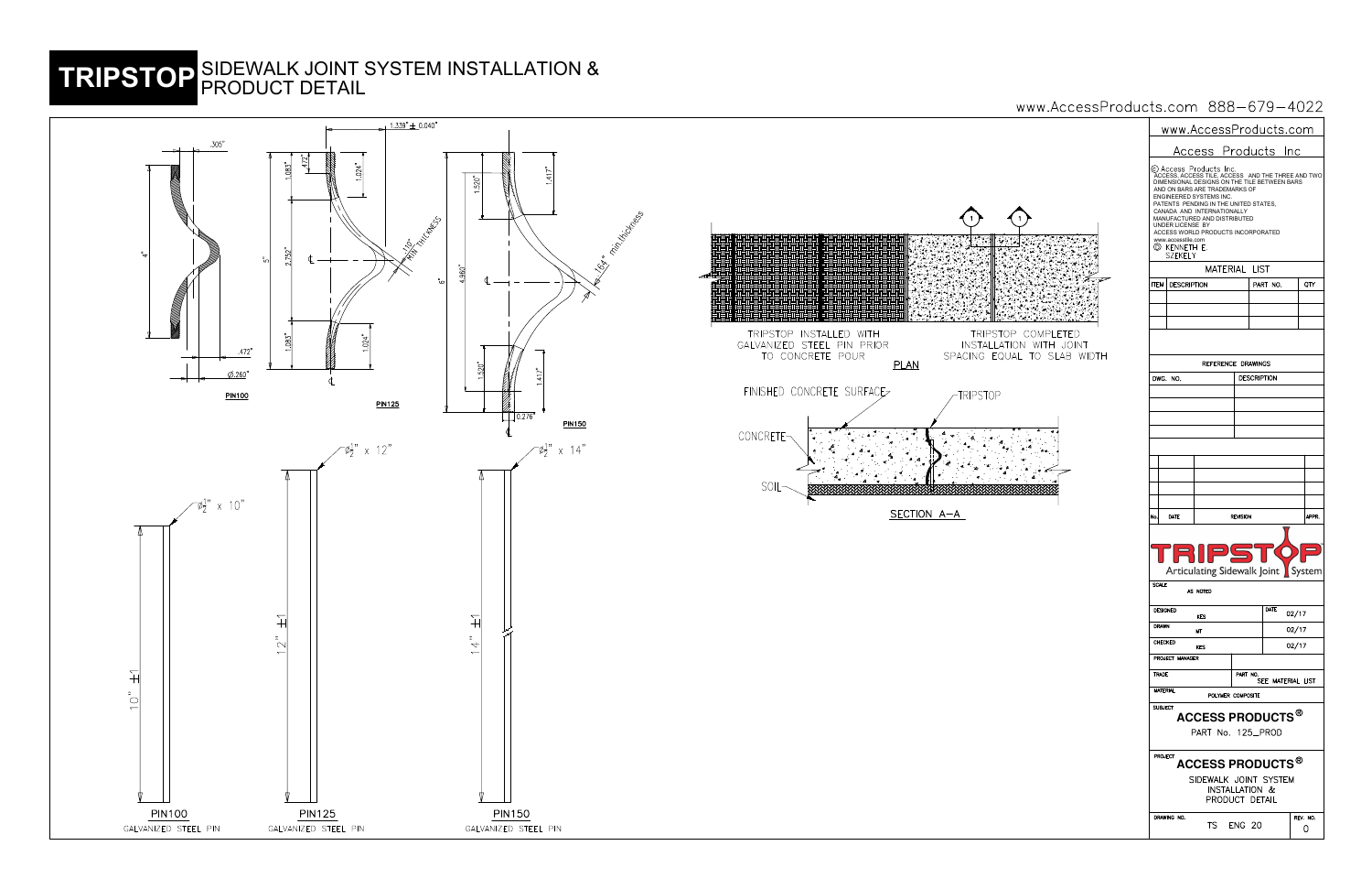| <u>www.AccessProducts.com</u>                                                                                                                    |                                                                     |                                                                                                                                                                                                                                                                                                                                             |               |                    |      |       |       |  |  |  |
|--------------------------------------------------------------------------------------------------------------------------------------------------|---------------------------------------------------------------------|---------------------------------------------------------------------------------------------------------------------------------------------------------------------------------------------------------------------------------------------------------------------------------------------------------------------------------------------|---------------|--------------------|------|-------|-------|--|--|--|
| Access Products Inc                                                                                                                              |                                                                     |                                                                                                                                                                                                                                                                                                                                             |               |                    |      |       |       |  |  |  |
|                                                                                                                                                  | UNDER LICENSE BY<br>www.accesstile.com<br>(D) KENNETH E.<br>SZEKELY | © Access Products Inc.<br>ACCESS, ACCESS TILE, ACCESS AND THE THREE AND TWO<br>DIMENSIONAL DESIGNS ON THE TILE BETWEEN BARS<br>AND ON BARS ARE TRADEMARKS OF<br><b>ENGINEERED SYSTEMS INC.</b><br>PATENTS PENDING IN THE UNITED STATES,<br>CANADA AND INTERNATIONALLY<br>MANUFACTURED AND DISTRIBUTED<br>ACCESS WORLD PRODUCTS INCORPORATED |               |                    |      |       |       |  |  |  |
| MATERIAL LIST                                                                                                                                    |                                                                     |                                                                                                                                                                                                                                                                                                                                             |               |                    |      |       |       |  |  |  |
| ITEM                                                                                                                                             | DESCRIPTION                                                         |                                                                                                                                                                                                                                                                                                                                             |               | PART NO.           |      | QTY   |       |  |  |  |
|                                                                                                                                                  |                                                                     |                                                                                                                                                                                                                                                                                                                                             |               |                    |      |       |       |  |  |  |
|                                                                                                                                                  |                                                                     |                                                                                                                                                                                                                                                                                                                                             |               |                    |      |       |       |  |  |  |
|                                                                                                                                                  |                                                                     |                                                                                                                                                                                                                                                                                                                                             |               |                    |      |       |       |  |  |  |
|                                                                                                                                                  |                                                                     |                                                                                                                                                                                                                                                                                                                                             |               |                    |      |       |       |  |  |  |
|                                                                                                                                                  |                                                                     | REFERENCE DRAWINGS                                                                                                                                                                                                                                                                                                                          |               |                    |      |       |       |  |  |  |
| DWG.                                                                                                                                             | NO.                                                                 |                                                                                                                                                                                                                                                                                                                                             |               | <b>DESCRIPTION</b> |      |       |       |  |  |  |
|                                                                                                                                                  |                                                                     |                                                                                                                                                                                                                                                                                                                                             |               |                    |      |       |       |  |  |  |
|                                                                                                                                                  |                                                                     |                                                                                                                                                                                                                                                                                                                                             |               |                    |      |       |       |  |  |  |
|                                                                                                                                                  |                                                                     |                                                                                                                                                                                                                                                                                                                                             |               |                    |      |       |       |  |  |  |
|                                                                                                                                                  |                                                                     |                                                                                                                                                                                                                                                                                                                                             |               |                    |      |       |       |  |  |  |
|                                                                                                                                                  |                                                                     |                                                                                                                                                                                                                                                                                                                                             |               |                    |      |       |       |  |  |  |
|                                                                                                                                                  |                                                                     |                                                                                                                                                                                                                                                                                                                                             |               |                    |      |       |       |  |  |  |
|                                                                                                                                                  |                                                                     |                                                                                                                                                                                                                                                                                                                                             |               |                    |      |       |       |  |  |  |
|                                                                                                                                                  |                                                                     |                                                                                                                                                                                                                                                                                                                                             |               |                    |      |       |       |  |  |  |
| No.                                                                                                                                              | DATE<br><b>REVISION</b>                                             |                                                                                                                                                                                                                                                                                                                                             |               |                    |      |       | APPR. |  |  |  |
| TRIPS<br>Articulating Sidewalk Joint<br>System<br><b>SCALE</b>                                                                                   |                                                                     |                                                                                                                                                                                                                                                                                                                                             |               |                    |      |       |       |  |  |  |
|                                                                                                                                                  |                                                                     | AS NOTED                                                                                                                                                                                                                                                                                                                                    |               |                    |      |       |       |  |  |  |
| <b>DESIGNED</b><br>KES                                                                                                                           |                                                                     |                                                                                                                                                                                                                                                                                                                                             |               |                    | DATE | 02/17 |       |  |  |  |
| <b>DRAWN</b><br>МT                                                                                                                               |                                                                     |                                                                                                                                                                                                                                                                                                                                             |               |                    |      | 02/17 |       |  |  |  |
| CHECKED<br><b>KES</b>                                                                                                                            |                                                                     |                                                                                                                                                                                                                                                                                                                                             |               |                    |      | 02/17 |       |  |  |  |
|                                                                                                                                                  | PROJECT MANAGER                                                     |                                                                                                                                                                                                                                                                                                                                             |               |                    |      |       |       |  |  |  |
|                                                                                                                                                  | <b>TRADE</b><br>PART NO.<br>SEE MATERIAL LIST<br><b>MATERIAL</b>    |                                                                                                                                                                                                                                                                                                                                             |               |                    |      |       |       |  |  |  |
|                                                                                                                                                  |                                                                     | POLYMER COMPOSITE                                                                                                                                                                                                                                                                                                                           |               |                    |      |       |       |  |  |  |
| <b>SUBJECT</b><br>ACCESS PRODUCTS $^\circledR$<br>PART No. 125_PROD                                                                              |                                                                     |                                                                                                                                                                                                                                                                                                                                             |               |                    |      |       |       |  |  |  |
| PROJECT<br><b>ACCESS PRODUCTS<sup>®</sup></b><br>SIDEWALK JOINT SYSTEM<br><b>INSTALLATION &amp;</b><br>PRODUCT DETAIL<br>DRAWING NO.<br>REV. NO. |                                                                     |                                                                                                                                                                                                                                                                                                                                             |               |                    |      |       |       |  |  |  |
|                                                                                                                                                  |                                                                     | TS i                                                                                                                                                                                                                                                                                                                                        | <b>ENG 20</b> |                    |      |       | O     |  |  |  |





TRIPSTOP COMPLETED<br>INSTALLATION WITH JOINT<br>SPACING EQUAL TO SLAB WIDTH



-TRIPSTOP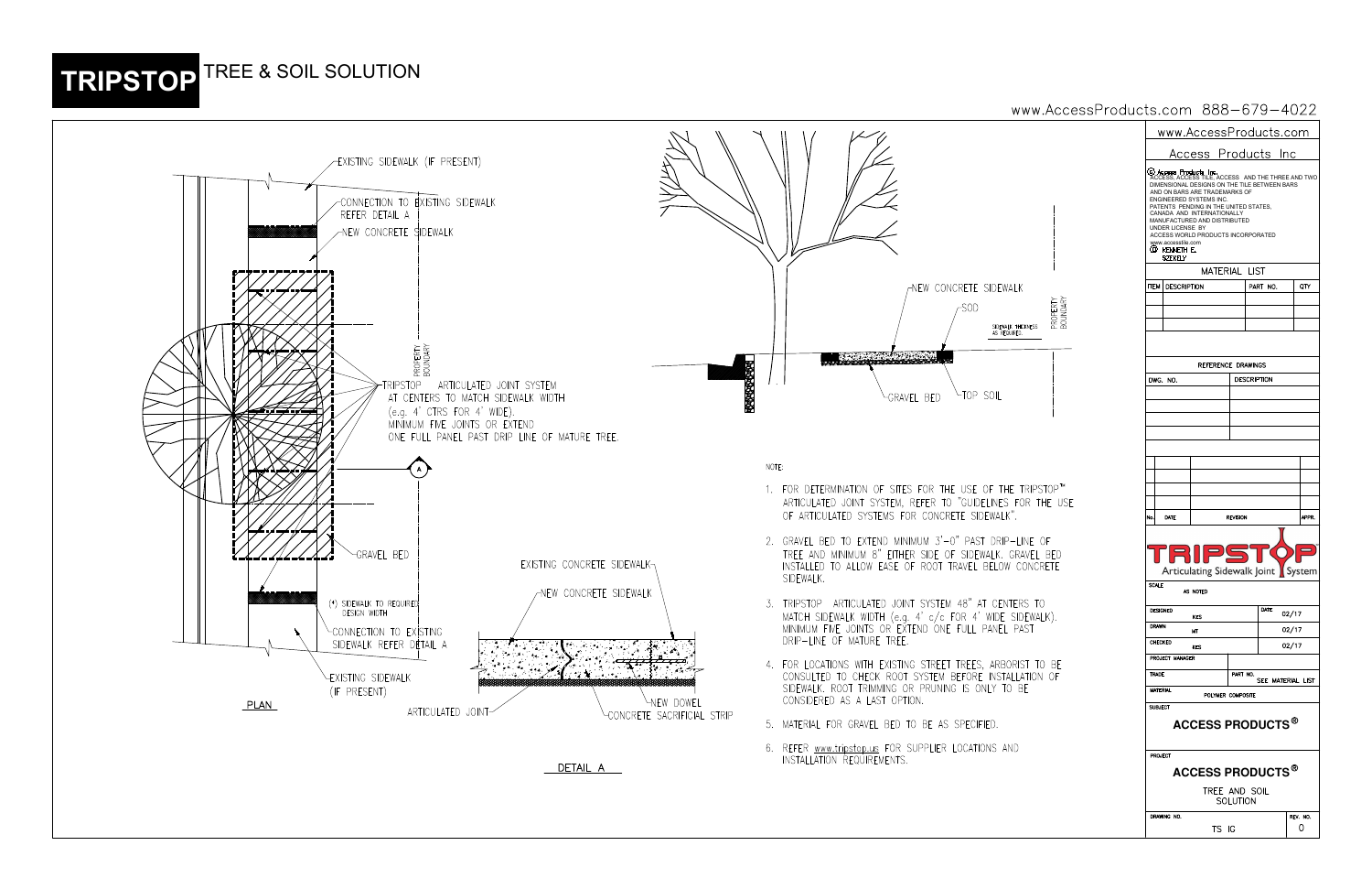